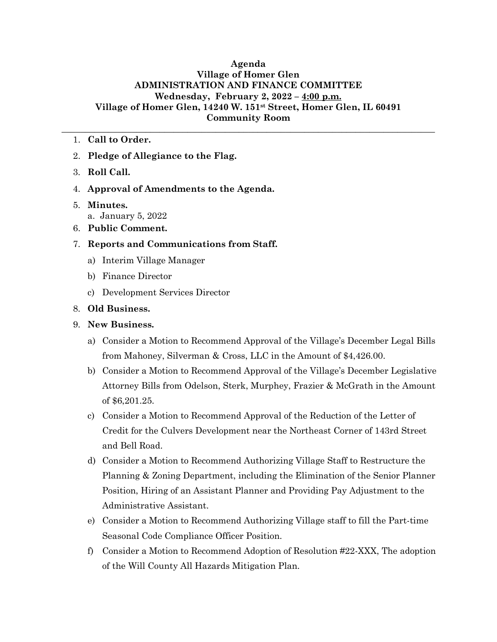## **Agenda Village of Homer Glen ADMINISTRATION AND FINANCE COMMITTEE Wednesday, February 2, 2022 – 4:00 p.m. Village of Homer Glen, 14240 W. 151st Street, Homer Glen, IL 60491 Community Room**

**\_\_\_\_\_\_\_\_\_\_\_\_\_\_\_\_\_\_\_\_\_\_\_\_\_\_\_\_\_\_\_\_\_\_\_\_\_\_\_\_\_\_\_\_\_\_\_\_\_\_\_\_\_\_\_\_\_\_\_\_\_\_\_\_\_\_\_\_\_\_\_\_\_\_\_\_\_\_\_\_**

## 1. **Call to Order.**

- 2. **Pledge of Allegiance to the Flag.**
- 3. **Roll Call.**
- 4. **Approval of Amendments to the Agenda.**
- 5. **Minutes.** a. January 5, 2022
- 6. **Public Comment.**
- 7. **Reports and Communications from Staff.**
	- a) Interim Village Manager
	- b) Finance Director
	- c) Development Services Director

## 8. **Old Business.**

- 9. **New Business.**
	- a) Consider a Motion to Recommend Approval of the Village's December Legal Bills from Mahoney, Silverman & Cross, LLC in the Amount of \$4,426.00.
	- b) Consider a Motion to Recommend Approval of the Village's December Legislative Attorney Bills from Odelson, Sterk, Murphey, Frazier & McGrath in the Amount of \$6,201.25.
	- c) Consider a Motion to Recommend Approval of the Reduction of the Letter of Credit for the Culvers Development near the Northeast Corner of 143rd Street and Bell Road.
	- d) Consider a Motion to Recommend Authorizing Village Staff to Restructure the Planning & Zoning Department, including the Elimination of the Senior Planner Position, Hiring of an Assistant Planner and Providing Pay Adjustment to the Administrative Assistant.
	- e) Consider a Motion to Recommend Authorizing Village staff to fill the Part-time Seasonal Code Compliance Officer Position.
	- f) Consider a Motion to Recommend Adoption of Resolution #22-XXX, The adoption of the Will County All Hazards Mitigation Plan.